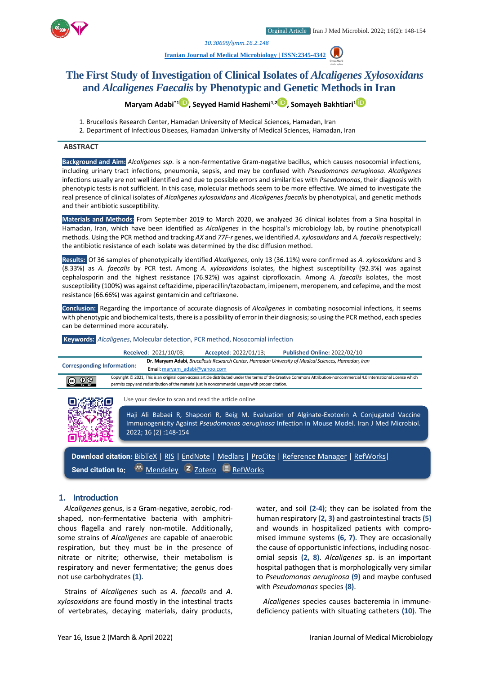*1. [10.30699/ijmm.16.2.148](http://dx.doi.org/10.30699/ijmm.16.2.148)*

**[Iranian Journal of Medical Microbiology |](https://ijmm.ir/) ISSN:2345-4342**

# **The First Study of Investigation of Clinical Isolates of** *Alcaligenes**Xylosoxidans* **and** *Alcaligenes Faecalis* **by Phenotypic and Genetic Methods in Iran**

**Maryam Adabi\*1 , Seyyed Hamid Hashemi1,2 , Somayeh Bakhtiari<sup>1</sup>**

- 1. Brucellosis Research Center, Hamadan University of Medical Sciences, Hamadan, Iran
- 2. Department of Infectious Diseases, Hamadan University of Medical Sciences, Hamadan, Iran

### **ABSTRACT**

**Background and Aim:** *Alcaligenes ssp*. is a non-fermentative Gram-negative bacillus, which causes nosocomial infections, including urinary tract infections, pneumonia, sepsis, and may be confused with *Pseudomonas aeruginosa*. *Alcaligenes*  infections usually are not well identified and due to possible errors and similarities with *Pseudomonas*, their diagnosis with phenotypic tests is not sufficient. In this case, molecular methods seem to be more effective. We aimed to investigate the real presence of clinical isolates of *Alcaligenes xylosoxidans* and *Alcaligenes faecalis* by phenotypical, and genetic methods and their antibiotic susceptibility.

**Materials and Methods:** From September 2019 to March 2020, we analyzed 36 clinical isolates from a Sina hospital in Hamadan, Iran, which have been identified as *Alcaligenes* in the hospital's microbiology lab, by routine phenotypicall methods. Using the PCR method and tracking *AX* and *77F-r* genes, we identified *A. xylosoxidans* and *A. faecalis* respectively; the antibiotic resistance of each isolate was determined by the disc diffusion method.

**Results:** Of 36 samples of phenotypically identified *Alcaligenes*, only 13 (36.11%) were confirmed as *A. xylosoxidans* and 3 (8.33%) as *A. faecalis* by PCR test. Among *A. xylosoxidans* isolates, the highest susceptibility (92.3%) was against cephalosporin and the highest resistance (76.92%) was against ciprofloxacin. Among *A. faecalis* isolates, the most susceptibility (100%) was against ceftazidime, piperacillin/tazobactam, imipenem, meropenem, and cefepime, and the most resistance (66.66%) was against gentamicin and ceftriaxone.

**Conclusion:** Regarding the importance of accurate diagnosis of *Alcaligenes* in combating nosocomial infections*,* it seems with phenotypic and biochemical tests, there is a possibility of error in their diagnosis; so using the PCR method, each species can be determined more accurately.

#### **Keywords:** *Alcaligenes*, Molecular detection, PCR method, Nosocomial infection



#### **1. Introduction**

*Alcaligenes* genus, is a Gram-negative, aerobic, rodshaped, non-fermentative bacteria with amphitrichous flagella and rarely non-motile. Additionally, some strains of *Alcaligenes* are capable of anaerobic respiration, but they must be in the presence of nitrate or nitrite; otherwise, their metabolism is respiratory and never fermentative; the genus does not use carbohydrates **(1)**.

Strains of *Alcaligenes* such as *A. faecalis* and *A. xylosoxidans* are found mostly in the intestinal tracts of vertebrates, decaying materials, dairy products, water, and soil **(2-4)**; they can be isolated from the human respiratory **(2, 3)** and gastrointestinal tracts **(5)** and wounds in hospitalized patients with compromised immune systems **(6, 7)**. They are occasionally the cause of opportunistic infections, including nosocomial sepsis **(2, 8)**. *Alcaligenes* sp. is an important hospital pathogen that is morphologically very similar to *Pseudomonas aeruginosa* **(9)** and maybe confused with *Pseudomonas* species **(8)**.

*Alcaligenes* species causes bacteremia in immunedeficiency patients with situating catheters **(10)**. The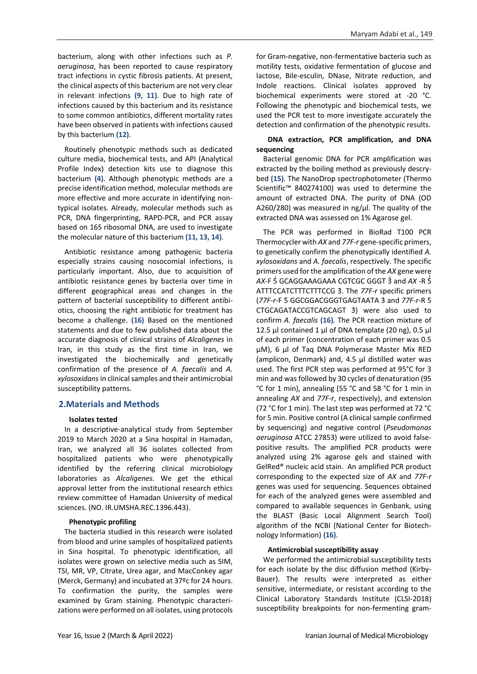bacterium, along with other infections such as *P. aeruginosa*, has been reported to cause respiratory tract infections in cystic fibrosis patients. At present, the clinical aspects of this bacterium are not very clear in relevant infections **(9, 11)**. Due to high rate of infections caused by this bacterium and its resistance to some common antibiotics, different mortality rates have been observed in patients with infections caused by this bacterium **(12)**.

Routinely phenotypic methods such as dedicated culture media, biochemical tests, and API (Analytical Profile Index) detection kits use to diagnose this bacterium **(4)**. Although phenotypic methods are a precise identification method, molecular methods are more effective and more accurate in identifying nontypical isolates. Already, molecular methods such as PCR, DNA fingerprinting, RAPD-PCR, and PCR assay based on 16S ribosomal DNA, are used to investigate the molecular nature of this bacterium **(11, 13, 14)**.

Antibiotic resistance among pathogenic bacteria especially strains causing nosocomial infections, is particularly important. Also, due to acquisition of antibiotic resistance genes by bacteria over time in different geographical areas and changes in the pattern of bacterial susceptibility to different antibiotics, choosing the right antibiotic for treatment has become a challenge. **(16)** Based on the mentioned statements and due to few published data about the accurate diagnosis of clinical strains of *Alcaligenes* in Iran, in this study as the first time in Iran, we investigated the biochemically and genetically confirmation of the presence of *A. faecalis* and *A. xylosoxidans*in clinical samples and their antimicrobial susceptibility patterns.

## **2.Materials and Methods**

## **Isolates tested**

In a descriptive-analytical study from September 2019 to March 2020 at a Sina hospital in Hamadan, Iran, we analyzed all 36 isolates collected from hospitalized patients who were phenotypically identified by the referring clinical microbiology laboratories as *Alcaligenes.* We get the ethical approval letter from the institutional research ethics review committee of Hamadan University of medical sciences. (NO. IR.UMSHA.REC.1396.443).

## **Phenotypic profiling**

The bacteria studied in this research were isolated from blood and urine samples of hospitalized patients in Sina hospital. To phenotypic identification, all isolates were grown on selective media such as SIM, TSI, MR, VP, Citrate, Urea agar, and MacConkey agar (Merck, Germany) and incubated at 37ºc for 24 hours. To confirmation the purity, the samples were examined by Gram staining. Phenotypic characterizations were performed on all isolates, using protocols

for Gram-negative, non-fermentative bacteria such as motility tests, oxidative fermentation of glucose and lactose, Bile-esculin, DNase, Nitrate reduction, and Indole reactions. Clinical isolates approved by biochemical experiments were stored at -20 °C. Following the phenotypic and biochemical tests, we used the PCR test to more investigate accurately the detection and confirmation of the phenotypic results.

## **DNA extraction, PCR amplification, and DNA sequencing**

Bacterial genomic DNA for PCR amplification was extracted by the boiling method as previously descrybed **(15)**. The NanoDrop spectrophotometer (Thermo Scientific™ 840274100) was used to determine the amount of extracted DNA. The purity of DNA (OD A260/280) was measured in  $\frac{mg}{\mu}$ . The quality of the extracted DNA was assessed on 1% Agarose gel.

The PCR was performed in BioRad T100 PCR Thermocycler with *AX* and *77F-r* gene-specific primers, to genetically confirm the phenotypically identified *A. xylosoxidans* and *A. faecalis*, respectively. The specific primers used for the amplification of the *AX* gene were AX-F 5 GCAGGAAAGAAA CGTCGC GGGT 3 and AX -R 5 ATTTCCATCTTTCTTTCCG 3. The 77F-r specific primers (*77F-r*-F 5̒̒ GGCGGACGGGTGAGTAATA 3̒̒ and *77F-r*-R 5̒̒ CTGCAGATACCGTCAGCAGT 3) were also used to confirm *A. faecalis* **(16)***.* The PCR reaction mixture of 12.5  $\mu$ l contained 1  $\mu$ l of DNA template (20 ng), 0.5  $\mu$ l of each primer (concentration of each primer was 0.5 µM), 6 µl of Taq DNA Polymerase Master Mix RED (amplicon, Denmark) and, 4.5 µl distilled water was used. The first PCR step was performed at 95°C for 3 min and was followed by 30 cycles of denaturation (95 °C for 1 min), annealing (55 °C and 58 °C for 1 min in annealing *AX* and *77F-r*, respectively), and extension (72 °C for 1 min). The last step was performed at 72 °C for 5 min. Positive control (A clinical sample confirmed by sequencing) and negative control (*Pseudomonas aeruginosa* ATCC 27853) were utilized to avoid falsepositive results. The amplified PCR products were analyzed using 2% agarose gels and stained with GelRed® nucleic acid stain. An amplified PCR product corresponding to the expected size of *AX* and *77F-r* genes was used for sequencing. Sequences obtained for each of the analyzed genes were assembled and compared to available sequences in Genbank, using the BLAST (Basic Local Alignment Search Tool) algorithm of the NCBI (National Center for Biotechnology Information) **(16)**.

## **Antimicrobial susceptibility assay**

We performed the antimicrobial susceptibility tests for each isolate by the disc diffusion method (Kirby-Bauer). The results were interpreted as either sensitive, intermediate, or resistant according to the Clinical Laboratory Standards Institute (CLSI-2018) susceptibility breakpoints for non-fermenting gram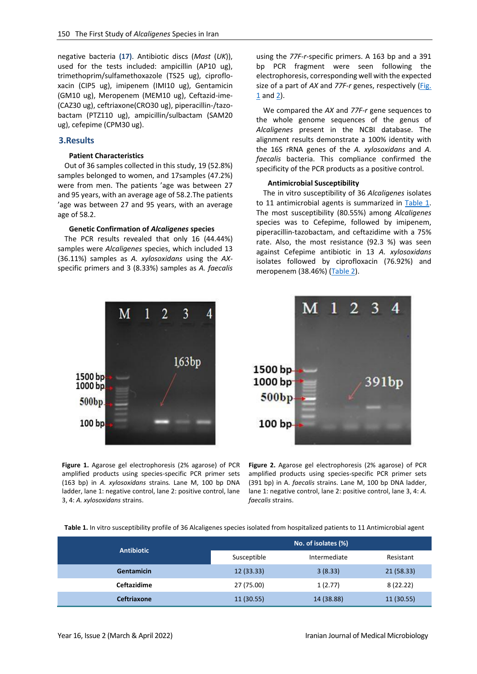negative bacteria **(17)**. Antibiotic discs (*Mast* (*UK*)), used for the tests included: ampicillin (AP10 ug), trimethoprim/sulfamethoxazole (TS25 ug), ciprofloxacin (CIP5 ug), imipenem (IMI10 ug), Gentamicin (GM10 ug), Meropenem (MEM10 ug), Ceftazid-ime- (CAZ30 ug), ceftriaxone(CRO30 ug), piperacillin-/tazobactam (PTZ110 ug), ampicillin/sulbactam (SAM20 ug), cefepime (CPM30 ug).

### **3.Results**

# **Patient Characteristics**

Out of 36 samples collected in this study, 19 (52.8%) samples belonged to women, and 17samples (47.2%) were from men. The patients 'age was between 27 and 95 years, with an average age of 58.2.The patients 'age was between 27 and 95 years, with an average age of 58.2.

#### **Genetic Confirmation of** *Alcaligenes* **species**

The PCR results revealed that only 16 (44.44%) samples were *Alcaligenes* species, which included 13 (36.11%) samples as *A. xylosoxidans* using the *AX*specific primers and 3 (8.33%) samples as *A. faecalis*



<span id="page-2-0"></span>**Figure 1.** Agarose gel electrophoresis (2% agarose) of PCR amplified products using species-specific PCR primer sets (163 bp) in *A. xylosoxidans* strains*.* Lane M, 100 bp DNA ladder, lane 1: negative control, lane 2: positive control, lane 3, 4: *A. xylosoxidans* strains.

using the *77F-r-*specific primers. A 163 bp and a 391 bp PCR fragment were seen following the electrophoresis, corresponding well with the expected size of a part of *AX* and *77F-r* genes, respectively [\(Fig.](#page-2-0)  [1](#page-2-0) and [2\)](#page-2-1).

We compared the *AX* and *77F-r* gene sequences to the whole genome sequences of the genus of *Alcaligenes* present in the NCBI database. The alignment results demonstrate a 100% identity with the 16S rRNA genes of the *A. xylosoxidans* and *A. faecalis* bacteria. This compliance confirmed the specificity of the PCR products as a positive control.

#### **Antimicrobial Susceptibility**

The in vitro susceptibility of 36 *Alcaligenes* isolates to 11 antimicrobial agents is summarized in [Table 1.](#page-2-2) The most susceptibility (80.55%) among *Alcaligenes* species was to Cefepime, followed by imipenem, piperacillin-tazobactam, and ceftazidime with a 75% rate. Also, the most resistance (92.3 %) was seen against Cefepime antibiotic in 13 *A. xylosoxidans* isolates followed by ciprofloxacin (76.92%) and meropenem (38.46%) [\(Table 2\)](#page-3-0).

<span id="page-2-1"></span>

**Figure 2.** Agarose gel electrophoresis (2% agarose) of PCR amplified products using species-specific PCR primer sets (391 bp) in A. *faecalis* strains. Lane M, 100 bp DNA ladder, lane 1: negative control, lane 2: positive control, lane 3, 4: *A. faecalis* strains.

<span id="page-2-2"></span>**Table 1.** In vitro susceptibility profile of 36 Alcaligenes species isolated from hospitalized patients to 11 Antimicrobial agent

| <b>Antibiotic</b>  | No. of isolates (%) |              |            |  |
|--------------------|---------------------|--------------|------------|--|
|                    | Susceptible         | Intermediate | Resistant  |  |
| <b>Gentamicin</b>  | 12(33.33)           | 3(8.33)      | 21(58.33)  |  |
| Ceftazidime        | 27 (75.00)          | 1(2.77)      | 8(22.22)   |  |
| <b>Ceftriaxone</b> | 11(30.55)           | 14 (38.88)   | 11 (30.55) |  |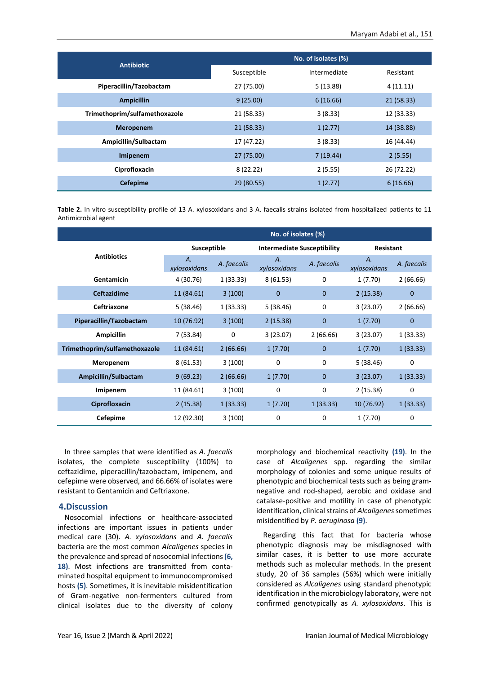|                               | No. of isolates (%) |              |            |  |  |
|-------------------------------|---------------------|--------------|------------|--|--|
| <b>Antibiotic</b>             | Susceptible         | Intermediate | Resistant  |  |  |
| Piperacillin/Tazobactam       | 27 (75.00)          | 5(13.88)     | 4(11.11)   |  |  |
| <b>Ampicillin</b>             | 9(25.00)            | 6(16.66)     | 21 (58.33) |  |  |
| Trimethoprim/sulfamethoxazole | 21 (58.33)          | 3(8.33)      | 12 (33.33) |  |  |
| <b>Meropenem</b>              | 21 (58.33)          | 1(2.77)      | 14 (38.88) |  |  |
| Ampicillin/Sulbactam          | 17 (47.22)          | 3(8.33)      | 16 (44.44) |  |  |
| Imipenem                      | 27 (75.00)          | 7(19.44)     | 2(5.55)    |  |  |
| Ciprofloxacin                 | 8(22.22)            | 2(5.55)      | 26 (72.22) |  |  |
| <b>Cefepime</b>               | 29 (80.55)          | 1(2.77)      | 6(16.66)   |  |  |

<span id="page-3-0"></span>**Table 2.** In vitro susceptibility profile of 13 A. xylosoxidans and 3 A. faecalis strains isolated from hospitalized patients to 11 Antimicrobial agent

|                               | No. of isolates (%) |             |                                    |              |                    |              |  |  |
|-------------------------------|---------------------|-------------|------------------------------------|--------------|--------------------|--------------|--|--|
| <b>Antibiotics</b>            | Susceptible         |             | <b>Intermediate Susceptibility</b> |              | Resistant          |              |  |  |
|                               | Α.<br>xylosoxidans  | A. faecalis | Α.<br>xylosoxidans                 | A. faecalis  | Α.<br>xylosoxidans | A. faecalis  |  |  |
| Gentamicin                    | 4 (30.76)           | 1(33.33)    | 8(61.53)                           | 0            | 1(7.70)            | 2(66.66)     |  |  |
| <b>Ceftazidime</b>            | 11 (84.61)          | 3(100)      | 0                                  | $\mathbf{0}$ | 2(15.38)           | $\mathbf 0$  |  |  |
| Ceftriaxone                   | 5(38.46)            | 1(33.33)    | 5(38.46)                           | $\mathbf 0$  | 3(23.07)           | 2(66.66)     |  |  |
| Piperacillin/Tazobactam       | 10 (76.92)          | 3(100)      | 2(15.38)                           | $\mathbf 0$  | 1(7.70)            | $\mathbf{0}$ |  |  |
| <b>Ampicillin</b>             | 7(53.84)            | 0           | 3(23.07)                           | 2(66.66)     | 3(23.07)           | 1(33.33)     |  |  |
| Trimethoprim/sulfamethoxazole | 11 (84.61)          | 2(66.66)    | 1(7.70)                            | $\mathbf{0}$ | 1(7.70)            | 1(33.33)     |  |  |
| Meropenem                     | 8(61.53)            | 3(100)      | 0                                  | $\mathbf 0$  | 5(38.46)           | 0            |  |  |
| Ampicillin/Sulbactam          | 9(69.23)            | 2(66.66)    | 1(7.70)                            | $\mathbf 0$  | 3(23.07)           | 1(33.33)     |  |  |
| Imipenem                      | 11 (84.61)          | 3(100)      | 0                                  | $\mathbf 0$  | 2(15.38)           | 0            |  |  |
| Ciprofloxacin                 | 2(15.38)            | 1(33.33)    | 1(7.70)                            | 1(33.33)     | 10 (76.92)         | 1(33.33)     |  |  |
| Cefepime                      | 12 (92.30)          | 3(100)      | 0                                  | 0            | 1(7.70)            | 0            |  |  |

In three samples that were identified as *A. faecalis*  isolates, the complete susceptibility (100%) to ceftazidime, piperacillin/tazobactam, imipenem, and cefepime were observed, and 66.66% of isolates were resistant to Gentamicin and Ceftriaxone.

## **4.Discussion**

Nosocomial infections or healthcare-associated infections are important issues in patients under medical care (30). *A. xylosoxidans* and *A. faecalis*  bacteria are the most common *Alcaligenes* species in the prevalence and spread of nosocomial infections **(6, 18)**. Most infections are transmitted from contaminated hospital equipment to immunocompromised hosts **(5)**. Sometimes, it is inevitable misidentification of Gram-negative non-fermenters cultured from clinical isolates due to the diversity of colony morphology and biochemical reactivity **(19)**. In the case of *Alcaligenes* spp. regarding the similar morphology of colonies and some unique results of phenotypic and biochemical tests such as being gramnegative and rod-shaped, aerobic and oxidase and catalase-positive and motility in case of phenotypic identification, clinical strains of *Alcaligenes*sometimes misidentified by *P. aeruginosa* **(9)**.

Regarding this fact that for bacteria whose phenotypic diagnosis may be misdiagnosed with similar cases, it is better to use more accurate methods such as molecular methods. In the present study, 20 of 36 samples (56%) which were initially considered as *Alcaligenes* using standard phenotypic identification in the microbiology laboratory, were not confirmed genotypically as *A. xylosoxidans*. This is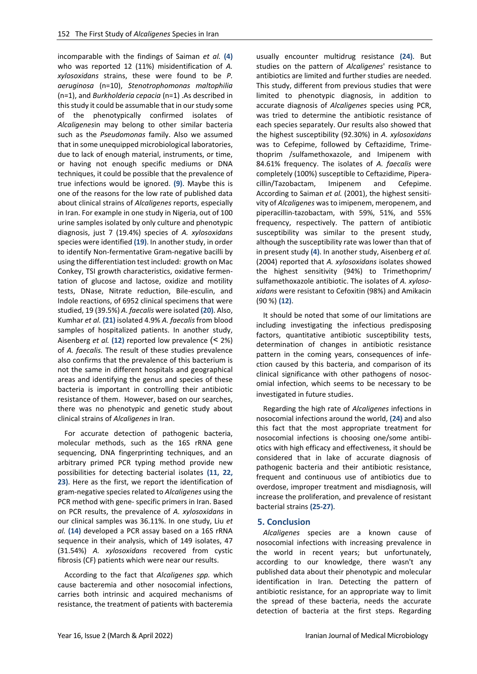incomparable with the findings of Saiman *et al.* **(4)** who was reported 12 (11%) misidentification of *A. xylosoxidans* strains, these were found to be *P. aeruginosa* (n=10), *Stenotrophomonas maltophilia* (n=1), and *Burkholderia cepacia* (n=1) .As described in this study it could be assumable that in our study some of the phenotypically confirmed isolates of *Alcaligenes*in may belong to other similar bacteria such as the *Pseudomonas* family. Also we assumed that in some unequipped microbiological laboratories, due to lack of enough material, instruments, or time, or having not enough specific mediums or DNA techniques, it could be possible that the prevalence of true infections would be ignored. **(9)**. Maybe this is one of the reasons for the low rate of published data about clinical strains of *Alcaligenes* reports, especially in Iran. For example in one study in Nigeria, out of 100 urine samples isolated by only culture and phenotypic diagnosis, just 7 (19.4%) species of *A. xylosoxidans* species were identified **(19)**. In another study, in order to identify Non-fermentative Gram-negative bacilli by using the differentiation test included: growth on Mac Conkey, TSI growth characteristics, oxidative fermentation of glucose and lactose, oxidize and motility tests, DNase, Nitrate reduction, Bile-esculin, and Indole reactions, of 6952 clinical specimens that were studied, 19 (39.5%) *A. faecalis* were isolated **(20)**. Also, Kumhar *et al.* **(21)** isolated 4.9% *A. faecalis* from blood samples of hospitalized patients. In another study, Aisenberg *et al.* (12) reported low prevalence  $($  <math>2\%) of *A. faecalis.* The result of these studies prevalence also confirms that the prevalence of this bacterium is not the same in different hospitals and geographical areas and identifying the genus and species of these bacteria is important in controlling their antibiotic resistance of them. However, based on our searches, there was no phenotypic and genetic study about clinical strains of *Alcaligenes* in Iran.

For accurate detection of pathogenic bacteria, molecular methods, such as the 16S rRNA gene sequencing, DNA fingerprinting techniques, and an arbitrary primed PCR typing method provide new possibilities for detecting bacterial isolates **(11, 22, 23)**. Here as the first, we report the identification of gram-negative species related to *Alcaligenes* using the PCR method with gene- specific primers in Iran. Based on PCR results, the prevalence of *A. xylosoxidans* in our clinical samples was 36.11%. In one study, Liu *et al.* **(14)** developed a PCR assay based on a 16S rRNA sequence in their analysis, which of 149 isolates, 47 (31.54%) *A. xylosoxidans* recovered from cystic fibrosis (CF) patients which were near our results.

According to the fact that *Alcaligenes spp.* which cause bacteremia and other nosocomial infections, carries both intrinsic and acquired mechanisms of resistance, the treatment of patients with bacteremia

usually encounter multidrug resistance **(24)**. But studies on the pattern of *Alcaligenes*' resistance to antibiotics are limited and further studies are needed. This study, different from previous studies that were limited to phenotypic diagnosis, in addition to accurate diagnosis of *Alcaligenes* species using PCR, was tried to determine the antibiotic resistance of each species separately. Our results also showed that the highest susceptibility (92.30%) in *A. xylosoxidans* was to Cefepime, followed by Ceftazidime, Trimethoprim /sulfamethoxazole, and Imipenem with 84.61% frequency. The isolates of *A. faecalis* were completely (100%) susceptible to Ceftazidime, Piperacillin/Tazobactam, Imipenem and Cefepime. According to Saiman *et al.* (2001), the highest sensitivity of *Alcaligenes* was to imipenem, meropenem, and piperacillin-tazobactam, with 59%, 51%, and 55% frequency, respectively. The pattern of antibiotic susceptibility was similar to the present study, although the susceptibility rate was lower than that of in present study **(4)**. In another study, Aisenberg *et al.* (2004) reported that *A. xylosoxidans* isolates showed the highest sensitivity (94%) to Trimethoprim/ sulfamethoxazole antibiotic. The isolates of *A. xylosoxidans* were resistant to Cefoxitin (98%) and Amikacin (90 %) **(12)**.

It should be noted that some of our limitations are including investigating the infectious predisposing factors, quantitative antibiotic susceptibility tests, determination of changes in antibiotic resistance pattern in the coming years, consequences of infection caused by this bacteria, and comparison of its clinical significance with other pathogens of nosocomial infection, which seems to be necessary to be investigated in future studies.

Regarding the high rate of *Alcaligenes* infections in nosocomial infections around the world, **(24)** and also this fact that the most appropriate treatment for nosocomial infections is choosing one/some antibiotics with high efficacy and effectiveness, it should be considered that in lake of accurate diagnosis of pathogenic bacteria and their antibiotic resistance, frequent and continuous use of antibiotics due to overdose, improper treatment and misdiagnosis, will increase the proliferation, and prevalence of resistant bacterial strains **(25-27)**.

# **5. Conclusion**

*Alcaligenes* species are a known cause of nosocomial infections with increasing prevalence in the world in recent years; but unfortunately, according to our knowledge, there wasn't any published data about their phenotypic and molecular identification in Iran. Detecting the pattern of antibiotic resistance, for an appropriate way to limit the spread of these bacteria, needs the accurate detection of bacteria at the first steps. Regarding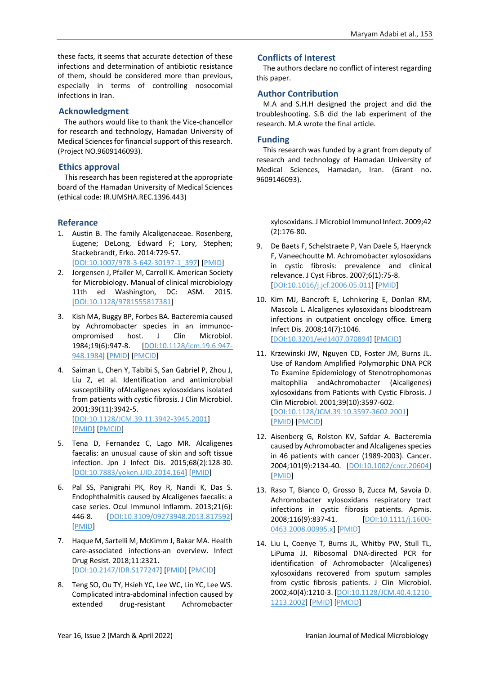these facts, it seems that accurate detection of these infections and determination of antibiotic resistance of them, should be considered more than previous, especially in terms of controlling nosocomial infections in Iran.

# **Acknowledgment**

The authors would like to thank the Vice-chancellor for research and technology, Hamadan University of Medical Sciences for financial support of this research. (Project NO.9609146093).

# **Ethics approval**

This research has been registered at the appropriate board of the Hamadan University of Medical Sciences (ethical code: IR.UMSHA.REC.1396.443)

# **Referance**

- 1. Austin B. The family Alcaligenaceae. Rosenberg, Eugene; DeLong, Edward F; Lory, Stephen; Stackebrandt, Erko. 2014:729-57. [\[DOI:10.1007/978-3-642-30197-1\\_397\]](https://doi.org/10.1007/978-3-642-30197-1_397) [\[PMID\]](https://www.ncbi.nlm.nih.gov/pubmed/24779601)
- 2. Jorgensen J, Pfaller M, Carroll K. American Society for Microbiology. Manual of clinical microbiology 11th ed Washington, DC: ASM. 2015. [\[DOI:10.1128/9781555817381\]](https://doi.org/10.1128/9781555817381)
- 3. Kish MA, Buggy BP, Forbes BA. Bacteremia caused by Achromobacter species in an immunocompromised host. J Clin Microbiol. 1984;19(6):947-8. [\[DOI:10.1128/jcm.19.6.947-](https://doi.org/10.1128/jcm.19.6.947-948.1984) [948.1984\]](https://doi.org/10.1128/jcm.19.6.947-948.1984) [\[PMID\]](https://www.ncbi.nlm.nih.gov/pubmed/6332118) [\[PMCID\]](http://www.ncbi.nlm.nih.gov/pmc/articles/PMC271225)
- 4. Saiman L, Chen Y, Tabibi S, San Gabriel P, Zhou J, Liu Z, et al. Identification and antimicrobial susceptibility ofAlcaligenes xylosoxidans isolated from patients with cystic fibrosis. J Clin Microbiol. 2001;39(11):3942-5. [\[DOI:10.1128/JCM.39.11.3942-3945.2001\]](https://doi.org/10.1128/JCM.39.11.3942-3945.2001) [\[PMID\]](https://www.ncbi.nlm.nih.gov/pubmed/11682511) [\[PMCID\]](http://www.ncbi.nlm.nih.gov/pmc/articles/PMC88468)
- 5. Tena D, Fernandez C, Lago MR. Alcaligenes faecalis: an unusual cause of skin and soft tissue infection. Jpn J Infect Dis. 2015;68(2):128-30. [\[DOI:10.7883/yoken.JJID.2014.164\]](https://doi.org/10.7883/yoken.JJID.2014.164) [\[PMID\]](https://www.ncbi.nlm.nih.gov/pubmed/25420652)
- 6. Pal SS, Panigrahi PK, Roy R, Nandi K, Das S. Endophthalmitis caused by Alcaligenes faecalis: a case series. Ocul Immunol Inflamm. 2013;21(6): 446-8. [\[DOI:10.3109/09273948.2013.817592\]](https://doi.org/10.3109/09273948.2013.817592) [\[PMID\]](https://www.ncbi.nlm.nih.gov/pubmed/23895234)
- 7. Haque M, Sartelli M, McKimm J, Bakar MA. Health care-associated infections-an overview. Infect Drug Resist. 2018;11:2321. [\[DOI:10.2147/IDR.S177247\]](https://doi.org/10.2147/IDR.S177247) [\[PMID\]](https://www.ncbi.nlm.nih.gov/pubmed/30532565) [\[PMCID\]](http://www.ncbi.nlm.nih.gov/pmc/articles/PMC6245375)
- 8. Teng SO, Ou TY, Hsieh YC, Lee WC, Lin YC, Lee WS. Complicated intra-abdominal infection caused by extended drug-resistant Achromobacter

# **Conflicts of Interest**

The authors declare no conflict of interest regarding this paper.

# **Author Contribution**

M.A and S.H.H designed the project and did the troubleshooting. S.B did the lab experiment of the research. M.A wrote the final article.

# **Funding**

This research was funded by a grant from deputy of research and technology of Hamadan University of Medical Sciences, Hamadan, Iran. (Grant no. 9609146093).

xylosoxidans. J Microbiol Immunol Infect. 2009;42 (2):176-80.

- 9. De Baets F, Schelstraete P, Van Daele S, Haerynck F, Vaneechoutte M. Achromobacter xylosoxidans in cystic fibrosis: prevalence and clinical relevance. J Cyst Fibros. 2007;6(1):75-8. [\[DOI:10.1016/j.jcf.2006.05.011\]](https://doi.org/10.1016/j.jcf.2006.05.011) [\[PMID\]](https://www.ncbi.nlm.nih.gov/pubmed/16793350)
- 10. Kim MJ, Bancroft E, Lehnkering E, Donlan RM, Mascola L. Alcaligenes xylosoxidans bloodstream infections in outpatient oncology office. Emerg Infect Dis. 2008;14(7):1046. [\[DOI:10.3201/eid1407.070894\]](https://doi.org/10.3201/eid1407.070894) [\[PMCID\]](http://www.ncbi.nlm.nih.gov/pmc/articles/PMC2600348)
- 11. Krzewinski JW, Nguyen CD, Foster JM, Burns JL. Use of Random Amplified Polymorphic DNA PCR To Examine Epidemiology of Stenotrophomonas maltophilia andAchromobacter (Alcaligenes) xylosoxidans from Patients with Cystic Fibrosis. J Clin Microbiol. 2001;39(10):3597-602. [\[DOI:10.1128/JCM.39.10.3597-3602.2001\]](https://doi.org/10.1128/JCM.39.10.3597-3602.2001) [\[PMID\]](https://www.ncbi.nlm.nih.gov/pubmed/11574579) [\[PMCID\]](http://www.ncbi.nlm.nih.gov/pmc/articles/PMC88395)
- 12. Aisenberg G, Rolston KV, Safdar A. Bacteremia caused by Achromobacter and Alcaligenes species in 46 patients with cancer (1989-2003). Cancer. 2004;101(9):2134-40. [\[DOI:10.1002/cncr.20604\]](https://doi.org/10.1002/cncr.20604) [\[PMID\]](https://www.ncbi.nlm.nih.gov/pubmed/15389476)
- 13. Raso T, Bianco O, Grosso B, Zucca M, Savoia D. Achromobacter xylosoxidans respiratory tract infections in cystic fibrosis patients. Apmis. 2008;116(9):837-41. [\[DOI:10.1111/j.1600-](https://doi.org/10.1111/j.1600-0463.2008.00995.x) [0463.2008.00995.x\]](https://doi.org/10.1111/j.1600-0463.2008.00995.x) [\[PMID\]](https://www.ncbi.nlm.nih.gov/pubmed/19024606)
- 14. Liu L, Coenye T, Burns JL, Whitby PW, Stull TL, LiPuma JJ. Ribosomal DNA-directed PCR for identification of Achromobacter (Alcaligenes) xylosoxidans recovered from sputum samples from cystic fibrosis patients. J Clin Microbiol. 2002;40(4):1210-3. [\[DOI:10.1128/JCM.40.4.1210-](https://doi.org/10.1128/JCM.40.4.1210-1213.2002) [1213.2002\]](https://doi.org/10.1128/JCM.40.4.1210-1213.2002) [\[PMID\]](https://www.ncbi.nlm.nih.gov/pubmed/11923333) [\[PMCID\]](http://www.ncbi.nlm.nih.gov/pmc/articles/PMC140369)